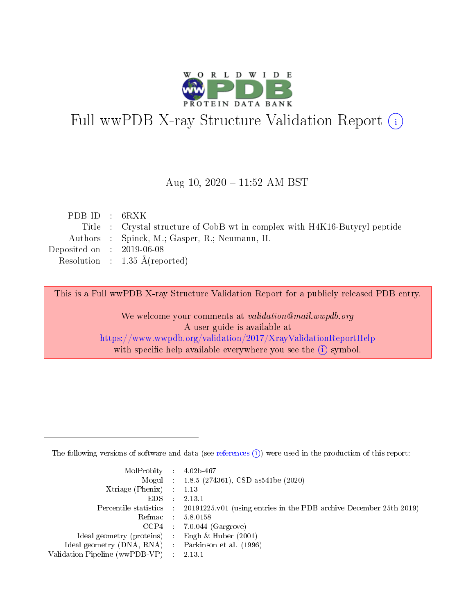

# Full wwPDB X-ray Structure Validation Report (i)

#### Aug 10,  $2020 - 11:52$  AM BST

| PDB ID : $6RXK$                      |                                                                            |
|--------------------------------------|----------------------------------------------------------------------------|
|                                      | Title : Crystal structure of CobB wt in complex with H4K16-Butyryl peptide |
|                                      | Authors : Spinck, M.; Gasper, R.; Neumann, H.                              |
| Deposited on $\therefore$ 2019-06-08 |                                                                            |
|                                      | Resolution : $1.35 \text{ Å}$ (reported)                                   |
|                                      |                                                                            |

This is a Full wwPDB X-ray Structure Validation Report for a publicly released PDB entry.

We welcome your comments at validation@mail.wwpdb.org A user guide is available at <https://www.wwpdb.org/validation/2017/XrayValidationReportHelp> with specific help available everywhere you see the  $(i)$  symbol.

The following versions of software and data (see [references](https://www.wwpdb.org/validation/2017/XrayValidationReportHelp#references)  $(1)$ ) were used in the production of this report:

| $MolProbability$ : 4.02b-467                      |                              |                                                                                            |
|---------------------------------------------------|------------------------------|--------------------------------------------------------------------------------------------|
|                                                   |                              | Mogul : $1.8.5$ (274361), CSD as 541be (2020)                                              |
| Xtriage (Phenix) $: 1.13$                         |                              |                                                                                            |
| EDS.                                              | $\mathcal{L}$                | 2.13.1                                                                                     |
|                                                   |                              | Percentile statistics : 20191225.v01 (using entries in the PDB archive December 25th 2019) |
| Refmac : 5.8.0158                                 |                              |                                                                                            |
|                                                   |                              | $CCP4$ 7.0.044 (Gargrove)                                                                  |
| Ideal geometry (proteins)                         | $\mathcal{L}_{\mathrm{eff}}$ | Engh $\&$ Huber (2001)                                                                     |
| Ideal geometry (DNA, RNA) Parkinson et al. (1996) |                              |                                                                                            |
| Validation Pipeline (wwPDB-VP) : 2.13.1           |                              |                                                                                            |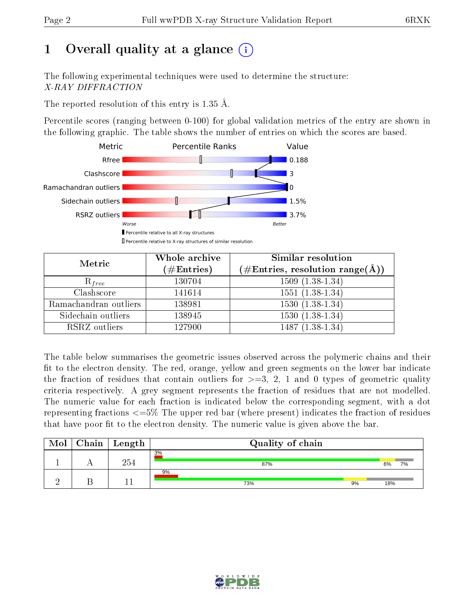# 1 [O](https://www.wwpdb.org/validation/2017/XrayValidationReportHelp#overall_quality)verall quality at a glance  $(i)$

The following experimental techniques were used to determine the structure: X-RAY DIFFRACTION

The reported resolution of this entry is 1.35 Å.

Percentile scores (ranging between 0-100) for global validation metrics of the entry are shown in the following graphic. The table shows the number of entries on which the scores are based.



| Metric                | Whole archive<br>$(\#\text{Entries})$ | <b>Similar resolution</b><br>$(\#\text{Entries},\,\text{resolution}\,\,\text{range}(\textup{\AA}))$ |
|-----------------------|---------------------------------------|-----------------------------------------------------------------------------------------------------|
| $R_{free}$            | 130704                                | $1509(1.38-1.34)$                                                                                   |
| Clashscore            | 141614                                | $1551(1.38-1.34)$                                                                                   |
| Ramachandran outliers | 138981                                | $\overline{1530}$ $(1.38-1.34)$                                                                     |
| Sidechain outliers    | 138945                                | $1530(1.38-1.34)$                                                                                   |
| RSRZ outliers         | 127900                                | $1487(1.38-1.34)$                                                                                   |

The table below summarises the geometric issues observed across the polymeric chains and their fit to the electron density. The red, orange, yellow and green segments on the lower bar indicate the fraction of residues that contain outliers for  $>=3, 2, 1$  and 0 types of geometric quality criteria respectively. A grey segment represents the fraction of residues that are not modelled. The numeric value for each fraction is indicated below the corresponding segment, with a dot representing fractions  $\epsilon=5\%$  The upper red bar (where present) indicates the fraction of residues that have poor fit to the electron density. The numeric value is given above the bar.

| Mol | Chain | $\mid$ Length | Quality of chain |    |     |    |
|-----|-------|---------------|------------------|----|-----|----|
|     |       | 254           | 3%<br>87%        |    | 6%  | 7% |
|     |       |               | 9%<br>73%        | 9% | 18% |    |

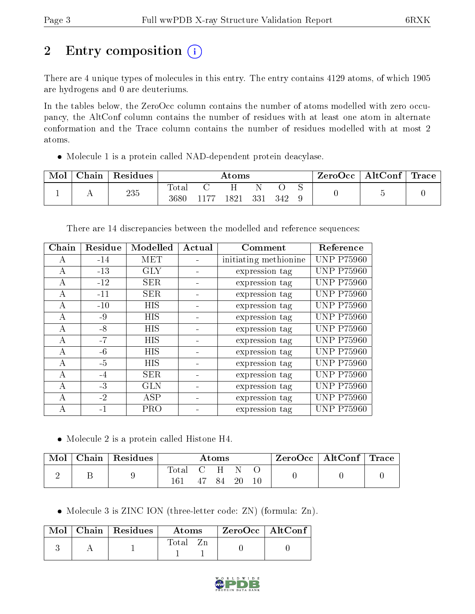# 2 Entry composition (i)

There are 4 unique types of molecules in this entry. The entry contains 4129 atoms, of which 1905 are hydrogens and 0 are deuteriums.

In the tables below, the ZeroOcc column contains the number of atoms modelled with zero occupancy, the AltConf column contains the number of residues with at least one atom in alternate conformation and the Trace column contains the number of residues modelled with at most 2 atoms.

Molecule 1 is a protein called NAD-dependent protein deacylase.

| Mol | Chain | Residues | $\rm{Atoms}$  |      |      |     |     | ZeroOcc | AltConf | $T$ Trace |  |
|-----|-------|----------|---------------|------|------|-----|-----|---------|---------|-----------|--|
|     | . .   | 235      | Total<br>3680 | ī 77 | 1821 | 331 | 342 | ◡       |         |           |  |

There are 14 discrepancies between the modelled and reference sequences:

| Chain | Residue | Modelled   | Actual | Comment               |                   |
|-------|---------|------------|--------|-----------------------|-------------------|
| A     | $-14$   | MET        |        | initiating methionine | <b>UNP P75960</b> |
| А     | $-13$   | <b>GLY</b> |        | expression tag        | <b>UNP P75960</b> |
| А     | $-12$   | <b>SER</b> |        | expression tag        | <b>UNP P75960</b> |
| А     | $-11$   | <b>SER</b> |        | expression tag        | <b>UNP P75960</b> |
| А     | $-10$   | <b>HIS</b> |        | expression tag        | <b>UNP P75960</b> |
| А     | $-9$    | <b>HIS</b> |        | expression tag        | <b>UNP P75960</b> |
| А     | $-8$    | <b>HIS</b> |        | expression tag        | <b>UNP P75960</b> |
| А     | $-7$    | <b>HIS</b> |        | expression tag        | <b>UNP P75960</b> |
| А     | $-6$    | <b>HIS</b> |        | expression tag        | <b>UNP P75960</b> |
| А     | $-5$    | <b>HIS</b> |        | expression tag        | <b>UNP P75960</b> |
| А     | $-4$    | <b>SER</b> |        | expression tag        | <b>UNP P75960</b> |
| А     | $-3$    | <b>GLN</b> |        | expression tag        | <b>UNP P75960</b> |
| А     | $-2$    | ASP        |        | expression tag        | <b>UNP P75960</b> |
| А     | $-1$    | <b>PRO</b> |        | expression tag        | <b>UNP P75960</b> |

Molecule 2 is a protein called Histone H4.

| Mol | Chain   Residues | $\rm{Atoms}$ |       |       | $\text{ZeroOcc} \mid \text{AltConf} \mid \text{Trace}$ |  |  |  |
|-----|------------------|--------------|-------|-------|--------------------------------------------------------|--|--|--|
|     |                  | Total        | - C H | 47 84 | 20                                                     |  |  |  |

• Molecule 3 is ZINC ION (three-letter code: ZN) (formula: Zn).

|  | $Mol$   Chain   Residues | Atoms | $\mathsf{ZeroOcc} \mid \mathsf{AltConf} \mid$ |  |
|--|--------------------------|-------|-----------------------------------------------|--|
|  |                          | Total |                                               |  |

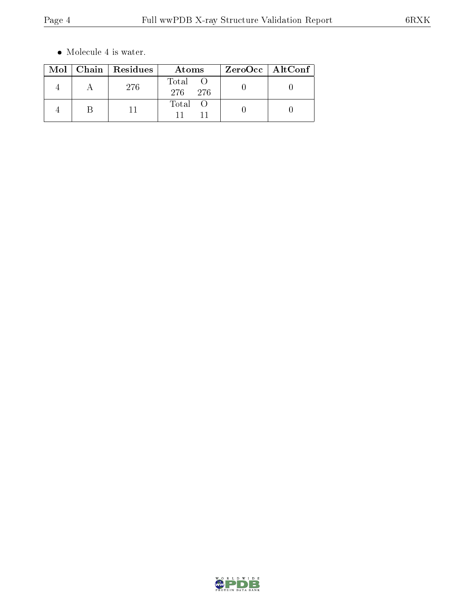$\bullet\,$  Molecule 4 is water.

|  | Mol   Chain   Residues | Atoms                  | ZeroOcc   AltConf |
|--|------------------------|------------------------|-------------------|
|  | 276                    | Total<br>276.<br>- 276 |                   |
|  |                        | Total                  |                   |

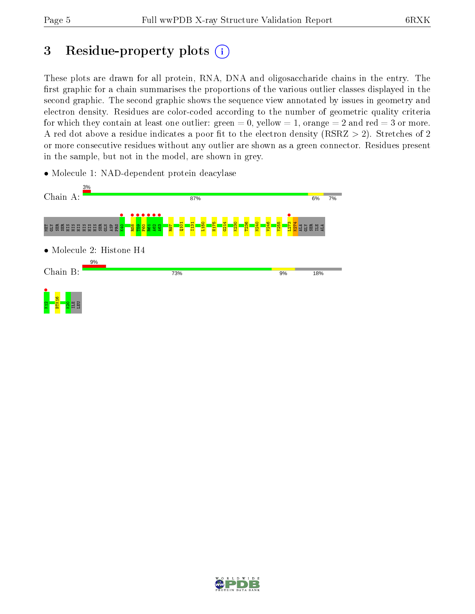# 3 Residue-property plots  $(i)$

These plots are drawn for all protein, RNA, DNA and oligosaccharide chains in the entry. The first graphic for a chain summarises the proportions of the various outlier classes displayed in the second graphic. The second graphic shows the sequence view annotated by issues in geometry and electron density. Residues are color-coded according to the number of geometric quality criteria for which they contain at least one outlier: green  $= 0$ , yellow  $= 1$ , orange  $= 2$  and red  $= 3$  or more. A red dot above a residue indicates a poor fit to the electron density ( $\text{RSRZ} > 2$ ). Stretches of 2 or more consecutive residues without any outlier are shown as a green connector. Residues present in the sample, but not in the model, are shown in grey.

• Molecule 1: NAD-dependent protein deacylase



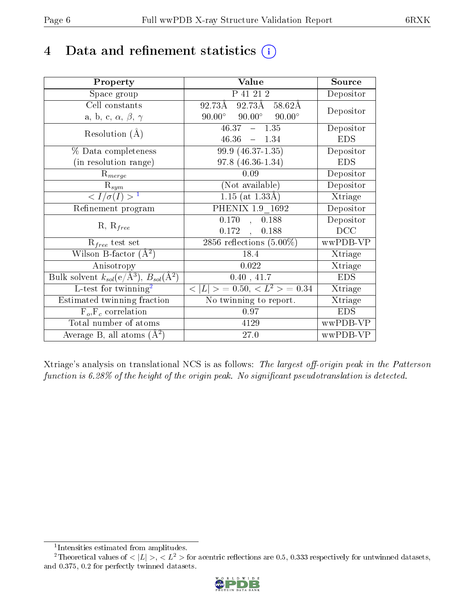# 4 Data and refinement statistics  $(i)$

| Property                                                   | Value                                            | Source                       |
|------------------------------------------------------------|--------------------------------------------------|------------------------------|
| Space group                                                | P 41 21 2                                        | Depositor                    |
| Cell constants                                             | $92.73\text{\AA}$<br>$92.73A - 58.62A$           | Depositor                    |
| a, b, c, $\alpha$ , $\beta$ , $\gamma$                     | $90.00^{\circ}$ $90.00^{\circ}$<br>$90.00^\circ$ |                              |
| Resolution $(A)$                                           | $46.37 - 1.35$                                   | Depositor                    |
|                                                            | $46.36 - 1.34$                                   | <b>EDS</b>                   |
| % Data completeness                                        | 99.9 (46.37-1.35)                                | Depositor                    |
| (in resolution range)                                      | $97.8(46.36-1.34)$                               | <b>EDS</b>                   |
| $R_{merge}$                                                | 0.09                                             | Depositor                    |
| $\mathrm{R}_{sym}$                                         | (Not available)                                  | Depositor                    |
| $\langle I/\sigma(I) \rangle^{-1}$                         | $1.15$ (at $1.33\text{\AA}$ )                    | Xtriage                      |
| Refinement program                                         | PHENIX 1.9 1692                                  | Depositor                    |
| $R, R_{free}$                                              | 0.170<br>0.188<br>$\mathcal{L}$                  | Depositor                    |
|                                                            | $0.172$ ,<br>0.188                               | DCC                          |
| $R_{free}$ test set                                        | 2856 reflections $(5.00\%)$                      | wwPDB-VP                     |
| Wilson B-factor $(A^2)$                                    | 18.4                                             | Xtriage                      |
| Anisotropy                                                 | 0.022                                            | Xtriage                      |
| Bulk solvent $k_{sol}$ (e/Å <sup>3</sup> ), $B_{sol}(A^2)$ | 0.40, 41.7                                       | <b>EDS</b>                   |
| L-test for twinning <sup>2</sup>                           | $< L >$ = 0.50, $< L2 >$ = 0.34                  | Xtriage                      |
| Estimated twinning fraction                                | No twinning to report.                           | $\overline{\text{X}}$ triage |
| $F_o, F_c$ correlation                                     | 0.97                                             | <b>EDS</b>                   |
| Total number of atoms                                      | 4129                                             | wwPDB-VP                     |
| Average B, all atoms $(A^2)$                               | 27.0                                             | wwPDB-VP                     |

Xtriage's analysis on translational NCS is as follows: The largest off-origin peak in the Patterson function is  $6.28\%$  of the height of the origin peak. No significant pseudotranslation is detected.

<sup>&</sup>lt;sup>2</sup>Theoretical values of  $\langle |L| \rangle$ ,  $\langle L^2 \rangle$  for acentric reflections are 0.5, 0.333 respectively for untwinned datasets, and 0.375, 0.2 for perfectly twinned datasets.



<span id="page-5-1"></span><span id="page-5-0"></span><sup>1</sup> Intensities estimated from amplitudes.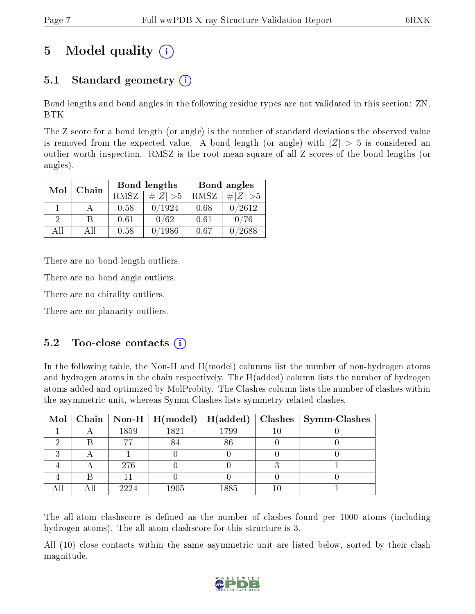# 5 Model quality  $(i)$

# 5.1 Standard geometry  $(i)$

Bond lengths and bond angles in the following residue types are not validated in this section: ZN, BTK

The Z score for a bond length (or angle) is the number of standard deviations the observed value is removed from the expected value. A bond length (or angle) with  $|Z| > 5$  is considered an outlier worth inspection. RMSZ is the root-mean-square of all Z scores of the bond lengths (or angles).

| Mol      | Chain |      | Bond lengths | Bond angles |               |  |
|----------|-------|------|--------------|-------------|---------------|--|
|          |       | RMSZ | $\# Z  > 5$  | RMSZ        | # $ Z  > 5$   |  |
|          |       | 0.58 | 0/1924       | 0.68        | 0/2612        |  |
| $\Omega$ | R     | 0.61 | 0/62         | 0.61        | 0/76          |  |
| AΠ       | A 11  | 0.58 | 1986         | 0.67        | $^\prime2688$ |  |

There are no bond length outliers.

There are no bond angle outliers.

There are no chirality outliers.

There are no planarity outliers.

## $5.2$  Too-close contacts  $(i)$

In the following table, the Non-H and H(model) columns list the number of non-hydrogen atoms and hydrogen atoms in the chain respectively. The H(added) column lists the number of hydrogen atoms added and optimized by MolProbity. The Clashes column lists the number of clashes within the asymmetric unit, whereas Symm-Clashes lists symmetry related clashes.

|  |      | $\text{Mol} \mid \text{Chain} \mid \text{Non-H} \mid \text{H(model)} \mid \text{H(added)}$ |      | $Class   Symm-Class$ |
|--|------|--------------------------------------------------------------------------------------------|------|----------------------|
|  | 1859 | 1821                                                                                       | 1799 |                      |
|  |      |                                                                                            | 86   |                      |
|  |      |                                                                                            |      |                      |
|  | 276  |                                                                                            |      |                      |
|  |      |                                                                                            |      |                      |
|  | 2224 | $1905\,$                                                                                   | 1885 |                      |

The all-atom clashscore is defined as the number of clashes found per 1000 atoms (including hydrogen atoms). The all-atom clashscore for this structure is 3.

All (10) close contacts within the same asymmetric unit are listed below, sorted by their clash magnitude.

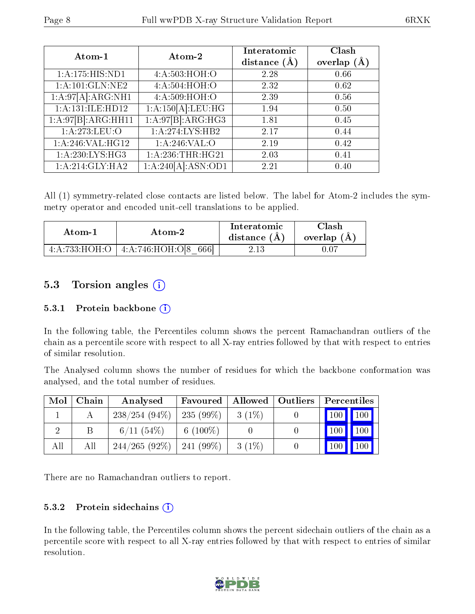| Atom-1             | Atom-2             | Interatomic    | Clash         |
|--------------------|--------------------|----------------|---------------|
|                    |                    | distance $(A)$ | overlap $(A)$ |
| 1:A:175:HIS:ND1    | 4:A:503:HOH:O      | 2.28           | 0.66          |
| 1:A:101:GLN:NE2    | 4:A:504:HOH:O      | 2.32           | 0.62          |
| 1:A:97[A]:ARG:NH1  | 4:A:509:HOH:O      | 2.39           | 0.56          |
| 1:A:131:ILE:HD12   | 1:A:150[A]:LEU:HG  | 1.94           | 0.50          |
| 1:A:97[B]:ARG:HH11 | 1:A:97[B]:ARG:HG3  | 1.81           | 0.45          |
| 1:A:273:LEU:O      | 1:A:274:LYS:HB2    | 2.17           | 0.44          |
| 1: A:246: VAL:HGI2 | 1: A:246: VAL:O    | 2.19           | 0.42          |
| 1: A:230: LYS: HG3 | 1: A:236:THR:HG21  | 2.03           | 0.41          |
| 1: A:214: GLY:HA2  | 1:A:240[A]:ASN:OD1 | 2.21           | 0.40          |

All (1) symmetry-related close contacts are listed below. The label for Atom-2 includes the symmetry operator and encoded unit-cell translations to be applied.

| Atom-1 | Atom-2                                       | Interatomic<br>distance $(A)$ | Clash<br>overlap (A |
|--------|----------------------------------------------|-------------------------------|---------------------|
|        | $4:A:733:HOH:O$   $4:A:746:HOH:O[8]$<br>6661 |                               |                     |

## 5.3 Torsion angles  $(i)$

#### 5.3.1 Protein backbone  $(i)$

In the following table, the Percentiles column shows the percent Ramachandran outliers of the chain as a percentile score with respect to all X-ray entries followed by that with respect to entries of similar resolution.

The Analysed column shows the number of residues for which the backbone conformation was analysed, and the total number of residues.

| Mol | Chain | Analysed        | Favoured    | Allowed   Outliers | Percentiles         |                    |
|-----|-------|-----------------|-------------|--------------------|---------------------|--------------------|
|     |       | $238/254(94\%)$ | $235(99\%)$ | $3(1\%)$           | $\vert$ 100 $\vert$ | $\vert$ 100        |
|     |       | $6/11(54\%)$    | 6 $(100\%)$ |                    | 100                 | $\blacksquare$ 100 |
| All | All   | $244/265(92\%)$ | $241(99\%)$ | $3(1\%)$           | 100                 | , 100 $^\prime$    |

There are no Ramachandran outliers to report.

#### 5.3.2 Protein sidechains  $(i)$

In the following table, the Percentiles column shows the percent sidechain outliers of the chain as a percentile score with respect to all X-ray entries followed by that with respect to entries of similar resolution.

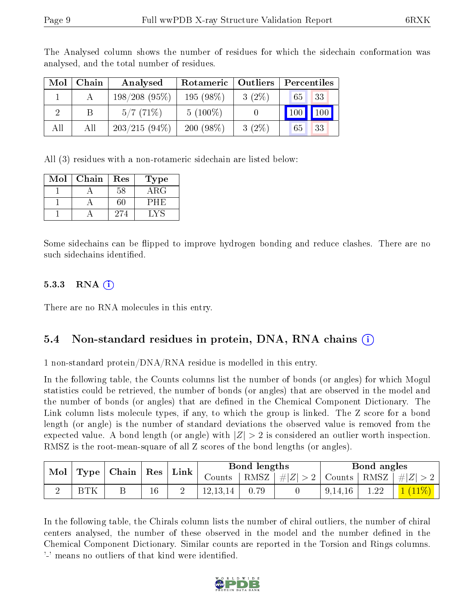| Mol | Chain | Analysed        | Rotameric   | $\vert$ Outliers | Percentiles |  |  |
|-----|-------|-----------------|-------------|------------------|-------------|--|--|
|     |       | $198/208(95\%)$ | $195(98\%)$ | $3(2\%)$         | 33<br>65    |  |  |
|     |       | 5/7(71%)        | $5(100\%)$  |                  | 100<br>100  |  |  |
| All | All   | $203/215(94\%)$ | $200(98\%)$ | $3(2\%)$         | 33<br>65    |  |  |

The Analysed column shows the number of residues for which the sidechain conformation was analysed, and the total number of residues.

All (3) residues with a non-rotameric sidechain are listed below:

| Mol | Chain | $\operatorname{Res}% \left( \mathcal{N}\right) \equiv\operatorname{Res}(\mathcal{N}_{0})\cap\mathcal{N}_{1}$ | L'ype      |
|-----|-------|--------------------------------------------------------------------------------------------------------------|------------|
|     |       | 58                                                                                                           | $\rm{ARG}$ |
|     |       |                                                                                                              | P H H      |
|     |       | 274                                                                                                          |            |

Some sidechains can be flipped to improve hydrogen bonding and reduce clashes. There are no such sidechains identified.

#### 5.3.3 RNA  $(i)$

There are no RNA molecules in this entry.

### 5.4 Non-standard residues in protein, DNA, RNA chains (i)

1 non-standard protein/DNA/RNA residue is modelled in this entry.

In the following table, the Counts columns list the number of bonds (or angles) for which Mogul statistics could be retrieved, the number of bonds (or angles) that are observed in the model and the number of bonds (or angles) that are defined in the Chemical Component Dictionary. The Link column lists molecule types, if any, to which the group is linked. The Z score for a bond length (or angle) is the number of standard deviations the observed value is removed from the expected value. A bond length (or angle) with  $|Z| > 2$  is considered an outlier worth inspection. RMSZ is the root-mean-square of all Z scores of the bond lengths (or angles).

| $\parallel$ Mol $\parallel$ Type $\parallel$ Chain $\parallel$ |            | $\mid$ Res $\mid$ Link $\mid$ |  | Bond lengths |      |                                                        | Bond angles |      |                                          |
|----------------------------------------------------------------|------------|-------------------------------|--|--------------|------|--------------------------------------------------------|-------------|------|------------------------------------------|
|                                                                |            |                               |  | Jounts       | RMSZ | $\left  \#Z \right  > 2$   Counts   RMSZ   $\# Z  > 2$ |             |      |                                          |
|                                                                | <b>BTK</b> | 16                            |  | 12, 13, 14   | 0.79 |                                                        | 9,14,16     | 1.22 | $\vert$ $\bot$ ( $\bot$ 1 $\%$ ) $\vert$ |

In the following table, the Chirals column lists the number of chiral outliers, the number of chiral centers analysed, the number of these observed in the model and the number defined in the Chemical Component Dictionary. Similar counts are reported in the Torsion and Rings columns. '-' means no outliers of that kind were identified.

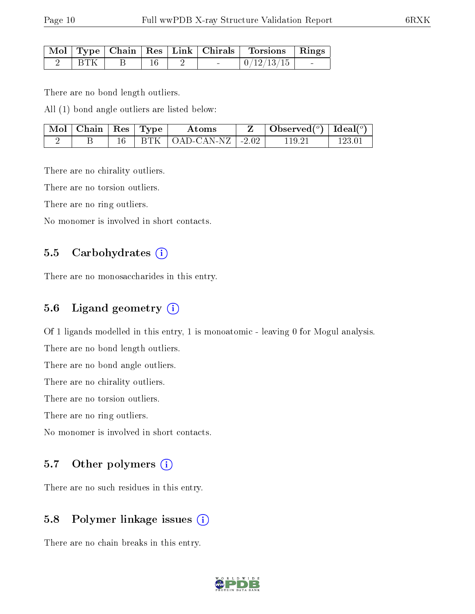|  |  |  | Mol   Type   Chain   Res   Link   Chirals   Torsions   Rings |        |
|--|--|--|--------------------------------------------------------------|--------|
|  |  |  | $\mid 0/12/13/15 \mid$                                       | $\sim$ |

There are no bond length outliers.

All (1) bond angle outliers are listed below:

| $\mid$ Mol $\mid$ Chain $\mid$ Res $\mid$ Type $\mid$ |  | Atoms                                 | Observed $(^\circ)$   Ideal $(^\circ)$ |  |
|-------------------------------------------------------|--|---------------------------------------|----------------------------------------|--|
|                                                       |  | $BTK$   OAD-CAN-NZ   -2.02 $^{\circ}$ | 119-21                                 |  |

There are no chirality outliers.

There are no torsion outliers.

There are no ring outliers.

No monomer is involved in short contacts.

### 5.5 Carbohydrates (i)

There are no monosaccharides in this entry.

### 5.6 Ligand geometry (i)

Of 1 ligands modelled in this entry, 1 is monoatomic - leaving 0 for Mogul analysis.

There are no bond length outliers.

There are no bond angle outliers.

There are no chirality outliers.

There are no torsion outliers.

There are no ring outliers.

No monomer is involved in short contacts.

### 5.7 [O](https://www.wwpdb.org/validation/2017/XrayValidationReportHelp#nonstandard_residues_and_ligands)ther polymers  $(i)$

There are no such residues in this entry.

## 5.8 Polymer linkage issues (i)

There are no chain breaks in this entry.

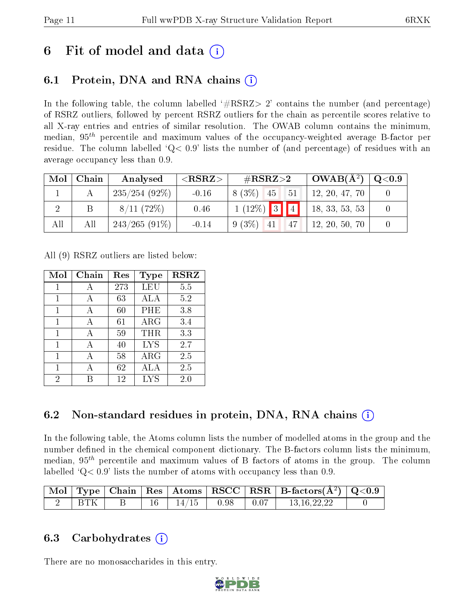# 6 Fit of model and data  $\left( \cdot \right)$

# 6.1 Protein, DNA and RNA chains (i)

In the following table, the column labelled  $#RSRZ>2'$  contains the number (and percentage) of RSRZ outliers, followed by percent RSRZ outliers for the chain as percentile scores relative to all X-ray entries and entries of similar resolution. The OWAB column contains the minimum, median,  $95<sup>th</sup>$  percentile and maximum values of the occupancy-weighted average B-factor per residue. The column labelled  $Q< 0.9$  lists the number of (and percentage) of residues with an average occupancy less than 0.9.

| Mol | Chain | Analysed        | ${ <\hspace{-1.5pt}{\mathrm{RSRZ}} \hspace{-1.5pt}>}$ | $\#\text{RSRZ}\text{>2}$ | $OWAB(A^2)$    | $\rm Q\textcolor{black}{<}0.9$ |
|-----|-------|-----------------|-------------------------------------------------------|--------------------------|----------------|--------------------------------|
|     |       | $235/254(92\%)$ | $-0.16$                                               | $8(3\%)$ 45<br>51        | 12, 20, 47, 70 |                                |
|     |       | 8/11(72%)       | 0.46                                                  | $1(12\%)$ 3 4            | 18, 33, 53, 53 |                                |
| All | All   | $243/265(91\%)$ | $-0.14$                                               | $9(3\%)$ 41<br>47        | 12, 20, 50, 70 |                                |

All (9) RSRZ outliers are listed below:

| Mol | Chain | Res | Type        | <b>RSRZ</b> |
|-----|-------|-----|-------------|-------------|
| 1   | А     | 273 | <b>LEU</b>  | 5.5         |
| 1   | А     | 63  | <b>ALA</b>  | 5.2         |
| 1   | А     | 60  | PHE         | 3.8         |
| 1   | А     | 61  | ARG         | 3.4         |
| 1   | A     | 59  | THR         | 3.3         |
| 1   | А     | 40  | <b>LYS</b>  | 2.7         |
| 1   |       | 58  | ${\rm ARG}$ | 2.5         |
| 1   |       | 62  | ALA         | 2.5         |
| 2   |       | 12  | <b>LYS</b>  | $2.0\,$     |

# 6.2 Non-standard residues in protein, DNA, RNA chains  $\Omega$  $\Omega$  $\Omega$

In the following table, the Atoms column lists the number of modelled atoms in the group and the number defined in the chemical component dictionary. The B-factors column lists the minimum, median,  $95<sup>th</sup>$  percentile and maximum values of B factors of atoms in the group. The column labelled  $Q< 0.9$ ' lists the number of atoms with occupancy less than 0.9.

|            |  |       |      |      | $\vert$ Mol $\vert$ Type $\vert$ Chain $\vert$ Res $\vert$ Atoms $\vert$ RSCC $\vert$ RSR $\vert$ B-factors(A <sup>2</sup> ) $\vert$ Q<0.9 |  |
|------------|--|-------|------|------|--------------------------------------------------------------------------------------------------------------------------------------------|--|
| <b>BTK</b> |  | 14/15 | 0.98 | 0.07 | 13.16.22.22                                                                                                                                |  |

## 6.3 Carbohydrates (i)

There are no monosaccharides in this entry.